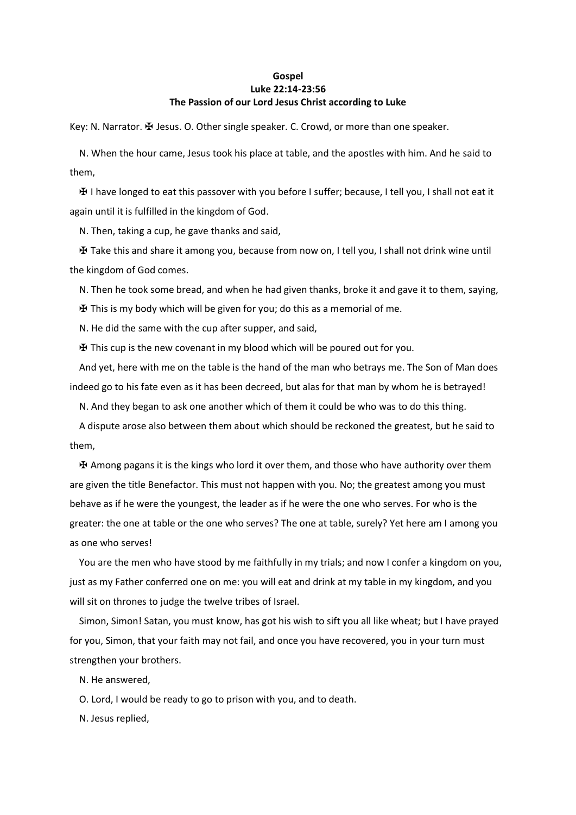## **Gospel Luke 22:14-23:56 The Passion of our Lord Jesus Christ according to Luke**

Key: N. Narrator. ✠ Jesus. O. Other single speaker. C. Crowd, or more than one speaker.

 N. When the hour came, Jesus took his place at table, and the apostles with him. And he said to them,

 ✠ I have longed to eat this passover with you before I suffer; because, I tell you, I shall not eat it again until it is fulfilled in the kingdom of God.

N. Then, taking a cup, he gave thanks and said,

 ✠ Take this and share it among you, because from now on, I tell you, I shall not drink wine until the kingdom of God comes.

N. Then he took some bread, and when he had given thanks, broke it and gave it to them, saying,

✠ This is my body which will be given for you; do this as a memorial of me.

N. He did the same with the cup after supper, and said,

✠ This cup is the new covenant in my blood which will be poured out for you.

 And yet, here with me on the table is the hand of the man who betrays me. The Son of Man does indeed go to his fate even as it has been decreed, but alas for that man by whom he is betrayed!

N. And they began to ask one another which of them it could be who was to do this thing.

 A dispute arose also between them about which should be reckoned the greatest, but he said to them,

 ✠ Among pagans it is the kings who lord it over them, and those who have authority over them are given the title Benefactor. This must not happen with you. No; the greatest among you must behave as if he were the youngest, the leader as if he were the one who serves. For who is the greater: the one at table or the one who serves? The one at table, surely? Yet here am I among you as one who serves!

 You are the men who have stood by me faithfully in my trials; and now I confer a kingdom on you, just as my Father conferred one on me: you will eat and drink at my table in my kingdom, and you will sit on thrones to judge the twelve tribes of Israel.

 Simon, Simon! Satan, you must know, has got his wish to sift you all like wheat; but I have prayed for you, Simon, that your faith may not fail, and once you have recovered, you in your turn must strengthen your brothers.

N. He answered,

O. Lord, I would be ready to go to prison with you, and to death.

N. Jesus replied,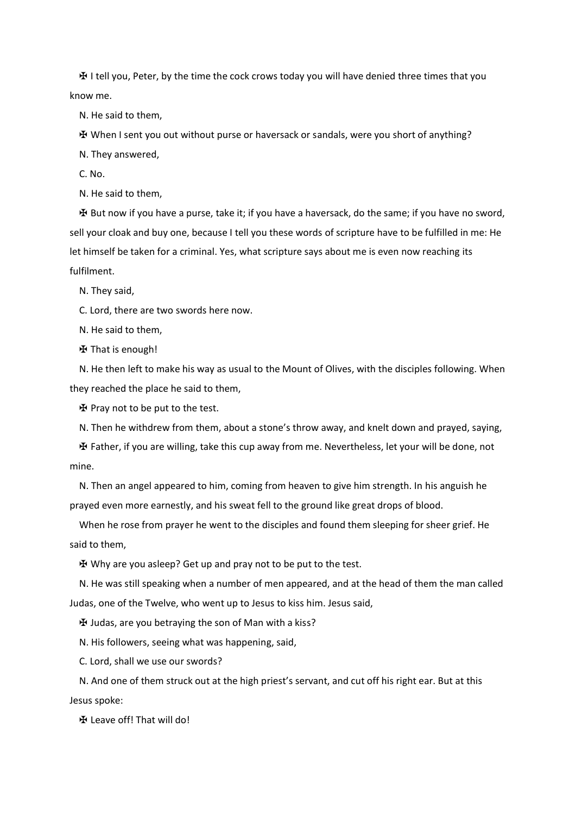✠ I tell you, Peter, by the time the cock crows today you will have denied three times that you know me.

N. He said to them,

✠ When I sent you out without purse or haversack or sandals, were you short of anything?

N. They answered,

C. No.

N. He said to them,

 ✠ But now if you have a purse, take it; if you have a haversack, do the same; if you have no sword, sell your cloak and buy one, because I tell you these words of scripture have to be fulfilled in me: He let himself be taken for a criminal. Yes, what scripture says about me is even now reaching its fulfilment.

N. They said,

C. Lord, there are two swords here now.

N. He said to them,

✠ That is enough!

 N. He then left to make his way as usual to the Mount of Olives, with the disciples following. When they reached the place he said to them,

✠ Pray not to be put to the test.

N. Then he withdrew from them, about a stone's throw away, and knelt down and prayed, saying,

 ✠ Father, if you are willing, take this cup away from me. Nevertheless, let your will be done, not mine.

 N. Then an angel appeared to him, coming from heaven to give him strength. In his anguish he prayed even more earnestly, and his sweat fell to the ground like great drops of blood.

 When he rose from prayer he went to the disciples and found them sleeping for sheer grief. He said to them,

✠ Why are you asleep? Get up and pray not to be put to the test.

 N. He was still speaking when a number of men appeared, and at the head of them the man called Judas, one of the Twelve, who went up to Jesus to kiss him. Jesus said,

✠ Judas, are you betraying the son of Man with a kiss?

N. His followers, seeing what was happening, said,

C. Lord, shall we use our swords?

 N. And one of them struck out at the high priest's servant, and cut off his right ear. But at this Jesus spoke:

✠ Leave off! That will do!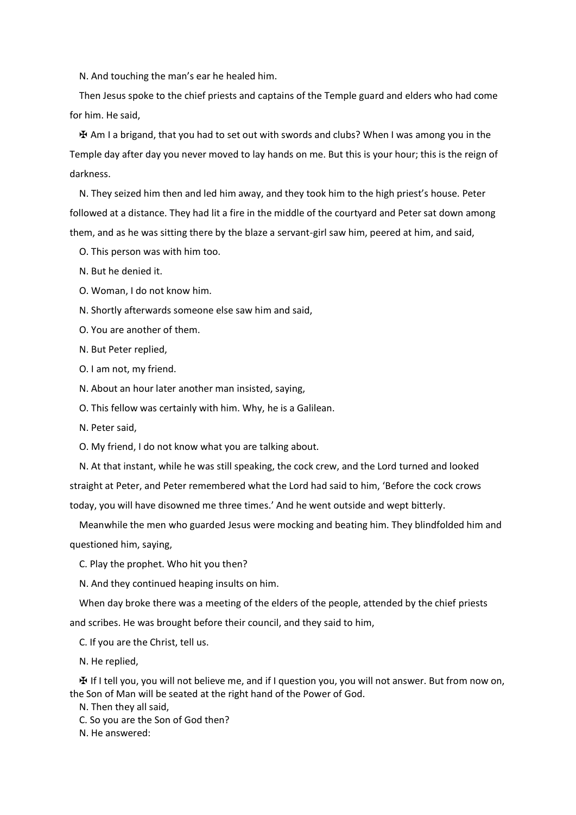N. And touching the man's ear he healed him.

 Then Jesus spoke to the chief priests and captains of the Temple guard and elders who had come for him. He said,

 ✠ Am I a brigand, that you had to set out with swords and clubs? When I was among you in the Temple day after day you never moved to lay hands on me. But this is your hour; this is the reign of darkness.

 N. They seized him then and led him away, and they took him to the high priest's house. Peter followed at a distance. They had lit a fire in the middle of the courtyard and Peter sat down among them, and as he was sitting there by the blaze a servant-girl saw him, peered at him, and said,

O. This person was with him too.

N. But he denied it.

O. Woman, I do not know him.

N. Shortly afterwards someone else saw him and said,

O. You are another of them.

N. But Peter replied,

O. I am not, my friend.

N. About an hour later another man insisted, saying,

O. This fellow was certainly with him. Why, he is a Galilean.

N. Peter said,

O. My friend, I do not know what you are talking about.

 N. At that instant, while he was still speaking, the cock crew, and the Lord turned and looked straight at Peter, and Peter remembered what the Lord had said to him, 'Before the cock crows today, you will have disowned me three times.' And he went outside and wept bitterly.

 Meanwhile the men who guarded Jesus were mocking and beating him. They blindfolded him and questioned him, saying,

C. Play the prophet. Who hit you then?

N. And they continued heaping insults on him.

When day broke there was a meeting of the elders of the people, attended by the chief priests

and scribes. He was brought before their council, and they said to him,

C. If you are the Christ, tell us.

N. He replied,

 ✠ If I tell you, you will not believe me, and if I question you, you will not answer. But from now on, the Son of Man will be seated at the right hand of the Power of God.

N. Then they all said,

C. So you are the Son of God then?

N. He answered: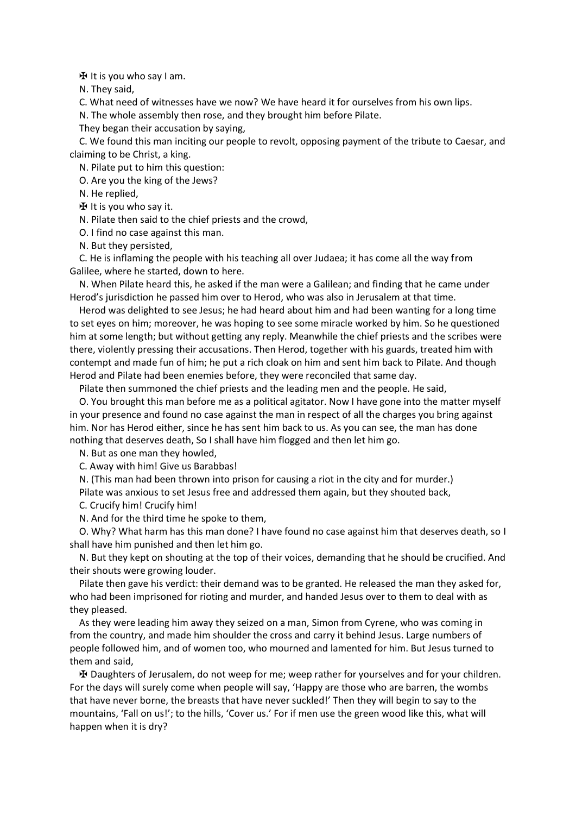✠ It is you who say I am.

N. They said,

C. What need of witnesses have we now? We have heard it for ourselves from his own lips.

N. The whole assembly then rose, and they brought him before Pilate.

They began their accusation by saying,

 C. We found this man inciting our people to revolt, opposing payment of the tribute to Caesar, and claiming to be Christ, a king.

N. Pilate put to him this question:

O. Are you the king of the Jews?

N. He replied,

✠ It is you who say it.

N. Pilate then said to the chief priests and the crowd,

O. I find no case against this man.

N. But they persisted,

 C. He is inflaming the people with his teaching all over Judaea; it has come all the way from Galilee, where he started, down to here.

 N. When Pilate heard this, he asked if the man were a Galilean; and finding that he came under Herod's jurisdiction he passed him over to Herod, who was also in Jerusalem at that time.

 Herod was delighted to see Jesus; he had heard about him and had been wanting for a long time to set eyes on him; moreover, he was hoping to see some miracle worked by him. So he questioned him at some length; but without getting any reply. Meanwhile the chief priests and the scribes were there, violently pressing their accusations. Then Herod, together with his guards, treated him with contempt and made fun of him; he put a rich cloak on him and sent him back to Pilate. And though Herod and Pilate had been enemies before, they were reconciled that same day.

Pilate then summoned the chief priests and the leading men and the people. He said,

 O. You brought this man before me as a political agitator. Now I have gone into the matter myself in your presence and found no case against the man in respect of all the charges you bring against him. Nor has Herod either, since he has sent him back to us. As you can see, the man has done nothing that deserves death, So I shall have him flogged and then let him go.

N. But as one man they howled,

C. Away with him! Give us Barabbas!

N. (This man had been thrown into prison for causing a riot in the city and for murder.)

Pilate was anxious to set Jesus free and addressed them again, but they shouted back,

C. Crucify him! Crucify him!

N. And for the third time he spoke to them,

 O. Why? What harm has this man done? I have found no case against him that deserves death, so I shall have him punished and then let him go.

 N. But they kept on shouting at the top of their voices, demanding that he should be crucified. And their shouts were growing louder.

 Pilate then gave his verdict: their demand was to be granted. He released the man they asked for, who had been imprisoned for rioting and murder, and handed Jesus over to them to deal with as they pleased.

 As they were leading him away they seized on a man, Simon from Cyrene, who was coming in from the country, and made him shoulder the cross and carry it behind Jesus. Large numbers of people followed him, and of women too, who mourned and lamented for him. But Jesus turned to them and said,

 ✠ Daughters of Jerusalem, do not weep for me; weep rather for yourselves and for your children. For the days will surely come when people will say, 'Happy are those who are barren, the wombs that have never borne, the breasts that have never suckled!' Then they will begin to say to the mountains, 'Fall on us!'; to the hills, 'Cover us.' For if men use the green wood like this, what will happen when it is dry?